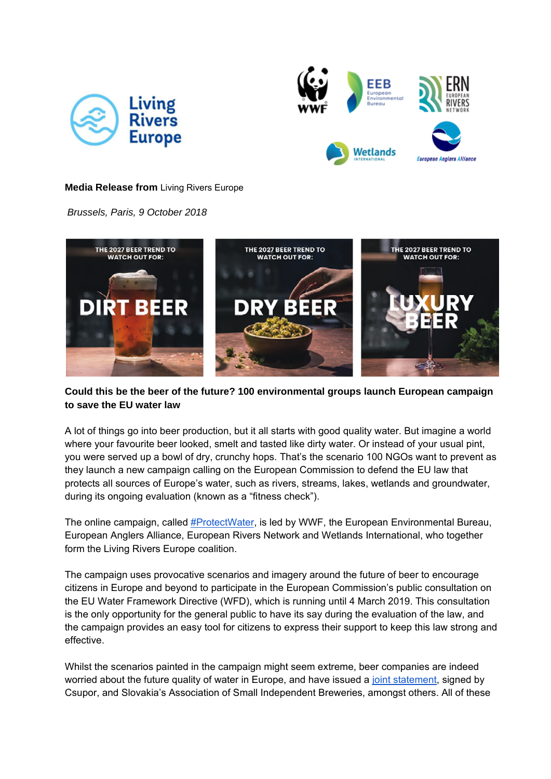



### **Media Release from** Living Rivers Europe

*Brussels, Paris, 9 October 2018* 



# **Could this be the beer of the future? 100 environmental groups launch European campaign to save the EU water law**

A lot of things go into beer production, but it all starts with good quality water. But imagine a world where your favourite beer looked, smelt and tasted like dirty water. Or instead of your usual pint, you were served up a bowl of dry, crunchy hops. That's the scenario 100 NGOs want to prevent as they launch a new campaign calling on the European Commission to defend the EU law that protects all sources of Europe's water, such as rivers, streams, lakes, wetlands and groundwater, during its ongoing evaluation (known as a "fitness check").

The online campaign, called #ProtectWater, is led by WWF, the European Environmental Bureau, European Anglers Alliance, European Rivers Network and Wetlands International, who together form the Living Rivers Europe coalition.

The campaign uses provocative scenarios and imagery around the future of beer to encourage citizens in Europe and beyond to participate in the European Commission's public consultation on the EU Water Framework Directive (WFD), which is running until 4 March 2019. This consultation is the only opportunity for the general public to have its say during the evaluation of the law, and the campaign provides an easy tool for citizens to express their support to keep this law strong and effective.

Whilst the scenarios painted in the campaign might seem extreme, beer companies are indeed worried about the future quality of water in Europe, and have issued a joint statement, signed by Csupor, and Slovakia's Association of Small Independent Breweries, amongst others. All of these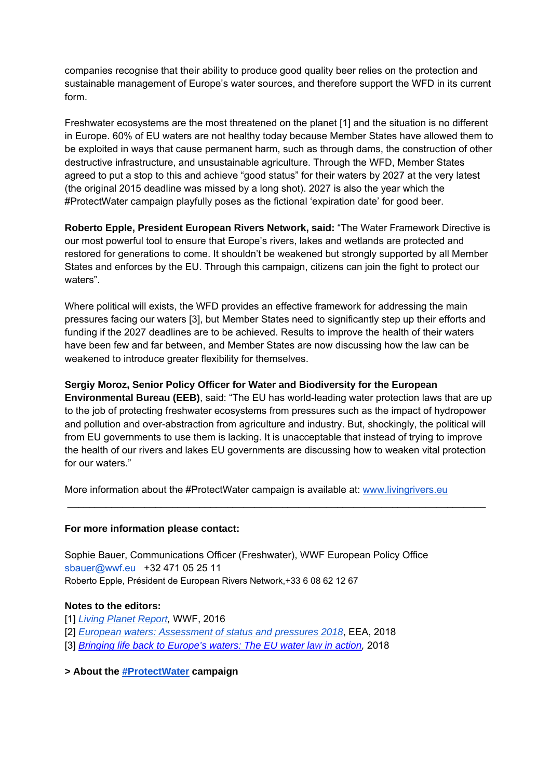companies recognise that their ability to produce good quality beer relies on the protection and sustainable management of Europe's water sources, and therefore support the WFD in its current form.

Freshwater ecosystems are the most threatened on the planet [1] and the situation is no different in Europe. 60% of EU waters are not healthy today because Member States have allowed them to be exploited in ways that cause permanent harm, such as through dams, the construction of other destructive infrastructure, and unsustainable agriculture. Through the WFD, Member States agreed to put a stop to this and achieve "good status" for their waters by 2027 at the very latest (the original 2015 deadline was missed by a long shot). 2027 is also the year which the #ProtectWater campaign playfully poses as the fictional 'expiration date' for good beer.

**Roberto Epple, President European Rivers Network, said:** "The Water Framework Directive is our most powerful tool to ensure that Europe's rivers, lakes and wetlands are protected and restored for generations to come. It shouldn't be weakened but strongly supported by all Member States and enforces by the EU. Through this campaign, citizens can join the fight to protect our waters".

Where political will exists, the WFD provides an effective framework for addressing the main pressures facing our waters [3], but Member States need to significantly step up their efforts and funding if the 2027 deadlines are to be achieved. Results to improve the health of their waters have been few and far between, and Member States are now discussing how the law can be weakened to introduce greater flexibility for themselves.

# **Sergiy Moroz, Senior Policy Officer for Water and Biodiversity for the European**

**Environmental Bureau (EEB)**, said: "The EU has world-leading water protection laws that are up to the job of protecting freshwater ecosystems from pressures such as the impact of hydropower and pollution and over-abstraction from agriculture and industry. But, shockingly, the political will from EU governments to use them is lacking. It is unacceptable that instead of trying to improve the health of our rivers and lakes EU governments are discussing how to weaken vital protection for our waters."

\_\_\_\_\_\_\_\_\_\_\_\_\_\_\_\_\_\_\_\_\_\_\_\_\_\_\_\_\_\_\_\_\_\_\_\_\_\_\_\_\_\_\_\_\_\_\_\_\_\_\_\_\_\_\_\_\_\_\_\_\_\_\_\_\_\_\_\_\_\_\_\_\_\_\_\_

More information about the #ProtectWater campaign is available at: www.livingrivers.eu

### **For more information please contact:**

Sophie Bauer, Communications Officer (Freshwater), WWF European Policy Office sbauer@wwf.eu +32 471 05 25 11 Roberto Epple, Président de European Rivers Network,+33 6 08 62 12 67

#### **Notes to the editors:**

- [1] *Living Planet Report,* WWF, 2016
- [2] *European waters: Assessment of status and pressures 2018*, EEA, 2018
- [3] *Bringing life back to Europe's waters: The EU water law in action, 2018*

**> About the #ProtectWater campaign**